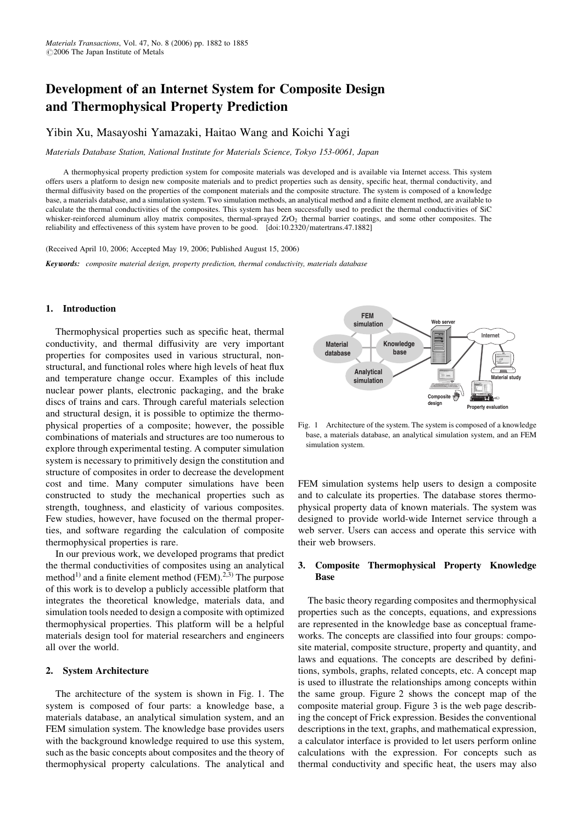# Development of an Internet System for Composite Design and Thermophysical Property Prediction

# Yibin Xu, Masayoshi Yamazaki, Haitao Wang and Koichi Yagi

Materials Database Station, National Institute for Materials Science, Tokyo 153-0061, Japan

A thermophysical property prediction system for composite materials was developed and is available via Internet access. This system offers users a platform to design new composite materials and to predict properties such as density, specific heat, thermal conductivity, and thermal diffusivity based on the properties of the component materials and the composite structure. The system is composed of a knowledge base, a materials database, and a simulation system. Two simulation methods, an analytical method and a finite element method, are available to calculate the thermal conductivities of the composites. This system has been successfully used to predict the thermal conductivities of SiC whisker-reinforced aluminum alloy matrix composites, thermal-sprayed ZrO<sub>2</sub> thermal barrier coatings, and some other composites. The reliability and effectiveness of this system have proven to be good. [\[doi:10.2320/matertrans.47.1882\]](http://dx.doi.org/10.2320/matertrans.47.1882)

(Received April 10, 2006; Accepted May 19, 2006; Published August 15, 2006)

Keywords: composite material design, property prediction, thermal conductivity, materials database

## 1. Introduction

Thermophysical properties such as specific heat, thermal conductivity, and thermal diffusivity are very important properties for composites used in various structural, nonstructural, and functional roles where high levels of heat flux and temperature change occur. Examples of this include nuclear power plants, electronic packaging, and the brake discs of trains and cars. Through careful materials selection and structural design, it is possible to optimize the thermophysical properties of a composite; however, the possible combinations of materials and structures are too numerous to explore through experimental testing. A computer simulation system is necessary to primitively design the constitution and structure of composites in order to decrease the development cost and time. Many computer simulations have been constructed to study the mechanical properties such as strength, toughness, and elasticity of various composites. Few studies, however, have focused on the thermal properties, and software regarding the calculation of composite thermophysical properties is rare.

In our previous work, we developed programs that predict the thermal conductivities of composites using an analytical method<sup>1)</sup> and a finite element method (FEM).<sup>2,3)</sup> The purpose of this work is to develop a publicly accessible platform that integrates the theoretical knowledge, materials data, and simulation tools needed to design a composite with optimized thermophysical properties. This platform will be a helpful materials design tool for material researchers and engineers all over the world.

#### 2. System Architecture

The architecture of the system is shown in Fig. 1. The system is composed of four parts: a knowledge base, a materials database, an analytical simulation system, and an FEM simulation system. The knowledge base provides users with the background knowledge required to use this system, such as the basic concepts about composites and the theory of thermophysical property calculations. The analytical and



Fig. 1 Architecture of the system. The system is composed of a knowledge base, a materials database, an analytical simulation system, and an FEM simulation system.

FEM simulation systems help users to design a composite and to calculate its properties. The database stores thermophysical property data of known materials. The system was designed to provide world-wide Internet service through a web server. Users can access and operate this service with their web browsers.

# 3. Composite Thermophysical Property Knowledge Base

The basic theory regarding composites and thermophysical properties such as the concepts, equations, and expressions are represented in the knowledge base as conceptual frameworks. The concepts are classified into four groups: composite material, composite structure, property and quantity, and laws and equations. The concepts are described by definitions, symbols, graphs, related concepts, etc. A concept map is used to illustrate the relationships among concepts within the same group. Figure 2 shows the concept map of the composite material group. Figure 3 is the web page describing the concept of Frick expression. Besides the conventional descriptions in the text, graphs, and mathematical expression, a calculator interface is provided to let users perform online calculations with the expression. For concepts such as thermal conductivity and specific heat, the users may also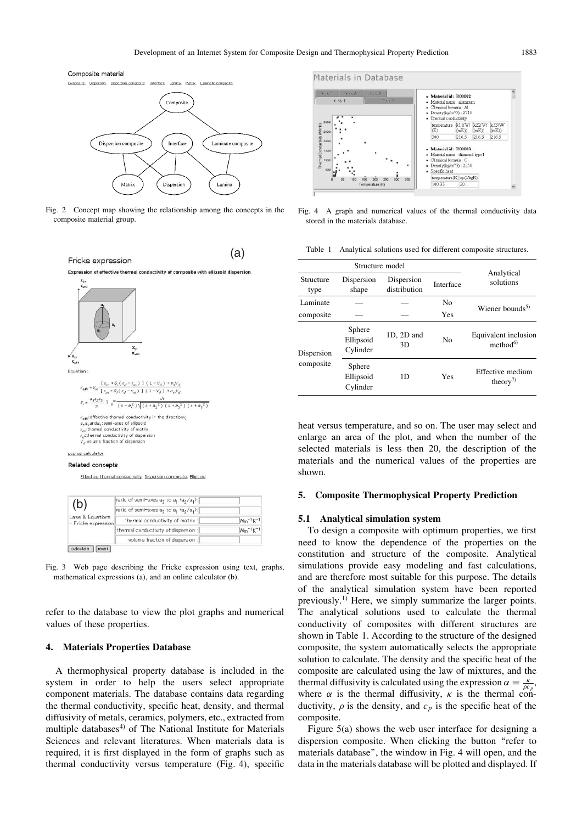



Fig. 2 Concept map showing the relationship among the concepts in the composite material group.



Fig. 3 Web page describing the Fricke expression using text, graphs, mathematical expressions (a), and an online calculator (b).

volume fraction of dispersion

refer to the database to view the plot graphs and numerical values of these properties.

## 4. Materials Properties Database

 $\left[\begin{array}{c}\n\text{calculate}\n\end{array}\right]\n\left[\begin{array}{c}\n\text{reset}\n\end{array}\right]$ 

A thermophysical property database is included in the system in order to help the users select appropriate component materials. The database contains data regarding the thermal conductivity, specific heat, density, and thermal diffusivity of metals, ceramics, polymers, etc., extracted from multiple databases<sup>4)</sup> of The National Institute for Materials Sciences and relevant literatures. When materials data is required, it is first displayed in the form of graphs such as thermal conductivity versus temperature (Fig. 4), specific



Fig. 4 A graph and numerical values of the thermal conductivity data stored in the materials database.

Table 1 Analytical solutions used for different composite structures.

| Structure model         |                                 |                            |                       |                                                           |
|-------------------------|---------------------------------|----------------------------|-----------------------|-----------------------------------------------------------|
| Structure<br>type       | Dispersion<br>shape             | Dispersion<br>distribution | Interface             | Analytical<br>solutions                                   |
| Laminate<br>composite   |                                 |                            | N <sub>0</sub><br>Yes | Wiener bounds <sup>5)</sup>                               |
| Dispersion<br>composite | Sphere<br>Ellipsoid<br>Cylinder | 1D, 2D and<br>3D           | N <sub>0</sub>        | Equivalent inclusion<br>method <sup>6</sup>               |
|                         | Sphere<br>Ellipsoid<br>Cylinder | 1D                         | Yes                   | Effective medium<br>theory <sup><math>\prime</math></sup> |

heat versus temperature, and so on. The user may select and enlarge an area of the plot, and when the number of the selected materials is less then 20, the description of the materials and the numerical values of the properties are shown.

#### 5. Composite Thermophysical Property Prediction

#### 5.1 Analytical simulation system

To design a composite with optimum properties, we first need to know the dependence of the properties on the constitution and structure of the composite. Analytical simulations provide easy modeling and fast calculations, and are therefore most suitable for this purpose. The details of the analytical simulation system have been reported previously.1) Here, we simply summarize the larger points. The analytical solutions used to calculate the thermal conductivity of composites with different structures are shown in Table 1. According to the structure of the designed composite, the system automatically selects the appropriate solution to calculate. The density and the specific heat of the composite are calculated using the law of mixtures, and the thermal diffusivity is calculated using the expression  $\alpha = \frac{\kappa}{\rho c_p}$ , where  $\alpha$  is the thermal diffusivity,  $\kappa$  is the thermal conductivity,  $\rho$  is the density, and  $c_p$  is the specific heat of the composite.

Figure 5(a) shows the web user interface for designing a dispersion composite. When clicking the button ''refer to materials database'', the window in Fig. 4 will open, and the data in the materials database will be plotted and displayed. If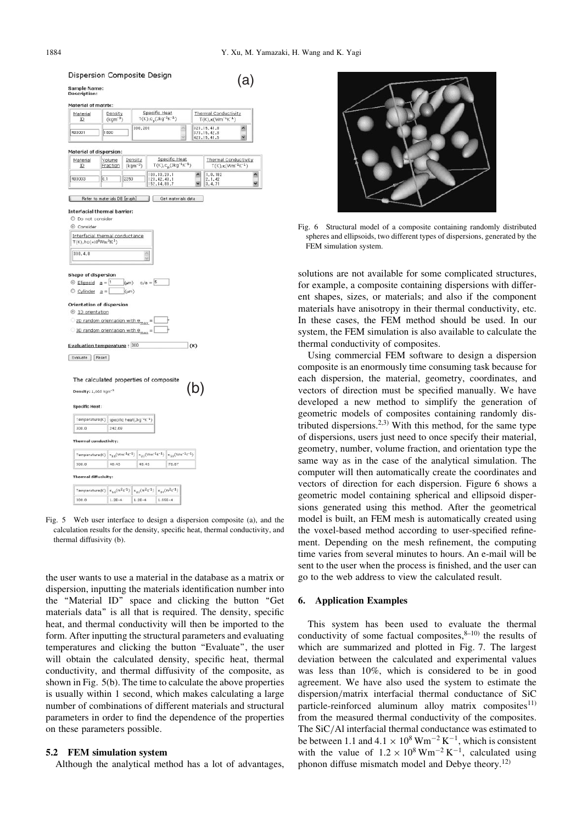v

Dispersion Composite Design (a) Sample Name:<br>Description: Material of matrix: Specific Heat<br> $T(K), c_p(3kg^{\text{-}1}K^{\text{-}1})$ Material  $\frac{\text{Density}}{\text{(kgm}^{-3)}}$ Thermal Conductivity  $\overline{10}$  $T(K) \cdot \kappa$ (Wm<sup>-1</sup>) 300 200 222 15 41 8 R00001 1600  $373.15, 42.1$ <br> $423.15, 41.1$ **Material of dispersion**  $\frac{\text{Specific Heat}}{\text{T(K)}, \text{c}_p(\text{Jkg}^{\text{-1}}\text{K}^{\text{-1}})}$ Material Volume<br>Fraction Density<br>(kgm<sup>-3</sup>) Thermal Conductivity<br>
T(K), k(Wm<sup>-1</sup>K<sup>-1</sup>) ID 100.33,20.<br>123.42.43.<br>152.64,88.  $18$ R00003 Refer to materials DB [graph] Get materials data Interfacial thermal barrier: O Do not consider © Consider Interfacial thermal conductance  $T(K)$ , hc $(\times 10^8$ Wm<sup>-2</sup>K<sup>-1</sup>  $300.4.8$ **Shape of dispersion** Shape of dispersion  $\exists$ (um)  $c/a = 5$  $\circ$  cylinder  $a = \Box$  $\langle \mu m \rangle$ Orientation of dispersion © 10 orientation 2D random orientation with  $\mathbf{e}_{\text{max}}$ .  $\circ$  3D random orientation with  $\overline{\mathbf{e}}_{\text{max}} = \overline{\Box}$ Evaluation temperature: 300  $\exists$  (K) Evaluate | Reset The calculated properties of composite (b) Density: 1,665 kgm<sup>-3</sup> **Specific Heat** Temperature(K) specific heat(Jkg<sup>-1</sup>K<sup>-1</sup>) 300.0 242.60 Thermal conductivity:  $\texttt{Temperature}(\mathsf{K}) \ \left| \ \mathsf{x}_{13}(\mathsf{Wm^{-1}K^{-1}}) \ \right| \ \mathsf{x}_{22}(\mathsf{Wm^{-1}K^{-1}}) \ \left| \ \mathsf{x}_{33}(\mathsf{Wm^{-1}K^{-1}}) \right.$ 300.0 48.45 48.45 78.87 Thermal diffusivity:  $\texttt{Temperature}(\mathbb{K}) \ \left| \ \alpha_{11}(m^2 \mathbb{S}^{-1}) \ \right| \ \alpha_{22}(m^2 \mathbb{S}^{-1}) \ \left| \ \alpha_{33}(m^2 \mathbb{S}^{-1}) \right.$  $1.2E-4$  $1.26 - 4$ 1.956-4 300.0

Fig. 5 Web user interface to design a dispersion composite (a), and the calculation results for the density, specific heat, thermal conductivity, and thermal diffusivity (b).

the user wants to use a material in the database as a matrix or dispersion, inputting the materials identification number into the "Material ID" space and clicking the button "Get materials data'' is all that is required. The density, specific heat, and thermal conductivity will then be imported to the form. After inputting the structural parameters and evaluating temperatures and clicking the button ''Evaluate'', the user will obtain the calculated density, specific heat, thermal conductivity, and thermal diffusivity of the composite, as shown in Fig. 5(b). The time to calculate the above properties is usually within 1 second, which makes calculating a large number of combinations of different materials and structural parameters in order to find the dependence of the properties on these parameters possible.

#### 5.2 FEM simulation system

Although the analytical method has a lot of advantages,



Fig. 6 Structural model of a composite containing randomly distributed spheres and ellipsoids, two different types of dispersions, generated by the FEM simulation system.

solutions are not available for some complicated structures, for example, a composite containing dispersions with different shapes, sizes, or materials; and also if the component materials have anisotropy in their thermal conductivity, etc. In these cases, the FEM method should be used. In our system, the FEM simulation is also available to calculate the thermal conductivity of composites.

Using commercial FEM software to design a dispersion composite is an enormously time consuming task because for each dispersion, the material, geometry, coordinates, and vectors of direction must be specified manually. We have developed a new method to simplify the generation of geometric models of composites containing randomly distributed dispersions.<sup>2,3)</sup> With this method, for the same type of dispersions, users just need to once specify their material, geometry, number, volume fraction, and orientation type the same way as in the case of the analytical simulation. The computer will then automatically create the coordinates and vectors of direction for each dispersion. Figure 6 shows a geometric model containing spherical and ellipsoid dispersions generated using this method. After the geometrical model is built, an FEM mesh is automatically created using the voxel-based method according to user-specified refinement. Depending on the mesh refinement, the computing time varies from several minutes to hours. An e-mail will be sent to the user when the process is finished, and the user can go to the web address to view the calculated result.

## 6. Application Examples

This system has been used to evaluate the thermal conductivity of some factual composites, $8-10$  the results of which are summarized and plotted in Fig. 7. The largest deviation between the calculated and experimental values was less than 10%, which is considered to be in good agreement. We have also used the system to estimate the dispersion/matrix interfacial thermal conductance of SiC particle-reinforced aluminum alloy matrix composites $11$ ) from the measured thermal conductivity of the composites. The SiC/Al interfacial thermal conductance was estimated to be between 1.1 and  $4.1 \times 10^8$  Wm<sup>-2</sup> K<sup>-1</sup>, which is consistent with the value of  $1.2 \times 10^8$  Wm<sup>-2</sup> K<sup>-1</sup>, calculated using phonon diffuse mismatch model and Debye theory.<sup>12)</sup>